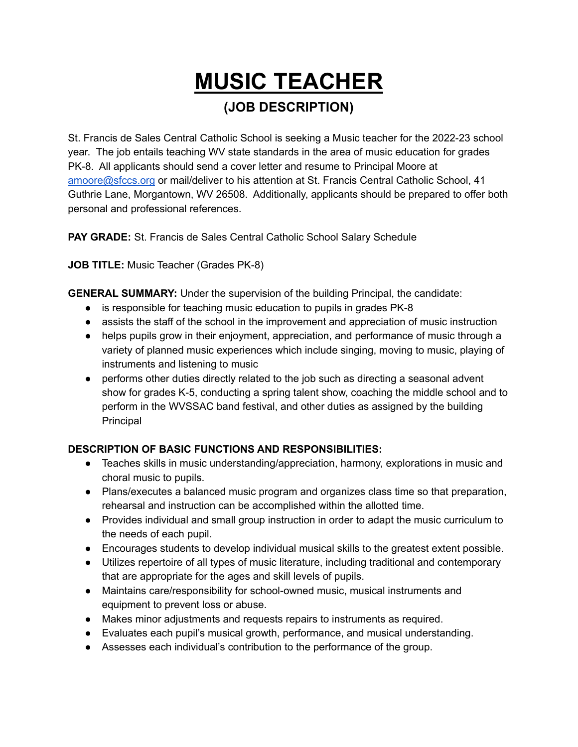# **MUSIC TEACHER (JOB DESCRIPTION)**

St. Francis de Sales Central Catholic School is seeking a Music teacher for the 2022-23 school year. The job entails teaching WV state standards in the area of music education for grades PK-8. All applicants should send a cover letter and resume to Principal Moore at [amoore@sfccs.org](mailto:amoore@sfccs.org) or mail/deliver to his attention at St. Francis Central Catholic School, 41 Guthrie Lane, Morgantown, WV 26508. Additionally, applicants should be prepared to offer both personal and professional references.

**PAY GRADE:** St. Francis de Sales Central Catholic School Salary Schedule

**JOB TITLE:** Music Teacher (Grades PK-8)

**GENERAL SUMMARY:** Under the supervision of the building Principal, the candidate:

- is responsible for teaching music education to pupils in grades PK-8
- assists the staff of the school in the improvement and appreciation of music instruction
- helps pupils grow in their enjoyment, appreciation, and performance of music through a variety of planned music experiences which include singing, moving to music, playing of instruments and listening to music
- performs other duties directly related to the job such as directing a seasonal advent show for grades K-5, conducting a spring talent show, coaching the middle school and to perform in the WVSSAC band festival, and other duties as assigned by the building Principal

## **DESCRIPTION OF BASIC FUNCTIONS AND RESPONSIBILITIES:**

- Teaches skills in music understanding/appreciation, harmony, explorations in music and choral music to pupils.
- Plans/executes a balanced music program and organizes class time so that preparation, rehearsal and instruction can be accomplished within the allotted time.
- Provides individual and small group instruction in order to adapt the music curriculum to the needs of each pupil.
- Encourages students to develop individual musical skills to the greatest extent possible.
- Utilizes repertoire of all types of music literature, including traditional and contemporary that are appropriate for the ages and skill levels of pupils.
- Maintains care/responsibility for school-owned music, musical instruments and equipment to prevent loss or abuse.
- Makes minor adjustments and requests repairs to instruments as required.
- Evaluates each pupil's musical growth, performance, and musical understanding.
- Assesses each individual's contribution to the performance of the group.